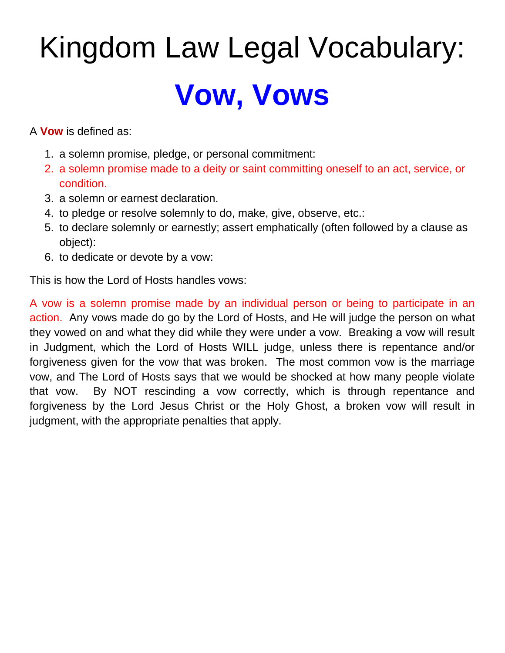# Kingdom Law Legal Vocabulary: **Vow, Vows**

A **Vow** is defined as:

- 1. a solemn promise, pledge, or personal commitment:
- 2. a solemn promise made to a deity or saint committing oneself to an act, service, or condition.
- 3. a solemn or earnest declaration.
- 4. to pledge or resolve solemnly to do, make, give, observe, etc.:
- 5. to declare solemnly or earnestly; assert emphatically (often followed by a clause as object):
- 6. to dedicate or devote by a vow:

This is how the Lord of Hosts handles vows:

A vow is a solemn promise made by an individual person or being to participate in an action. Any vows made do go by the Lord of Hosts, and He will judge the person on what they vowed on and what they did while they were under a vow. Breaking a vow will result in Judgment, which the Lord of Hosts WILL judge, unless there is repentance and/or forgiveness given for the vow that was broken. The most common vow is the marriage vow, and The Lord of Hosts says that we would be shocked at how many people violate that vow. By NOT rescinding a vow correctly, which is through repentance and forgiveness by the Lord Jesus Christ or the Holy Ghost, a broken vow will result in judgment, with the appropriate penalties that apply.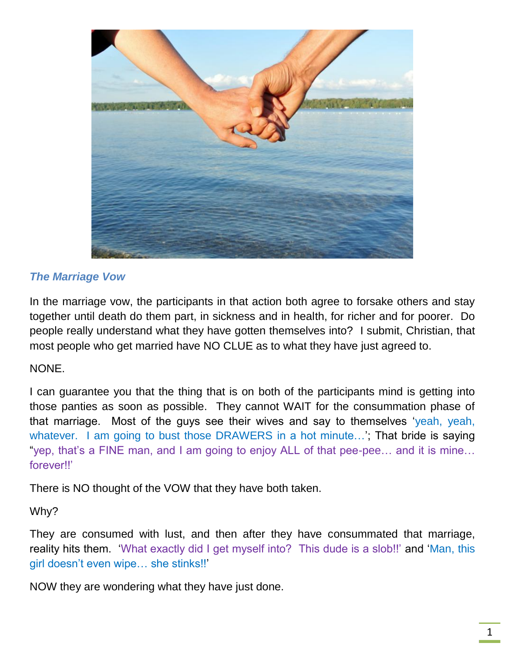

#### *The Marriage Vow*

In the marriage vow, the participants in that action both agree to forsake others and stay together until death do them part, in sickness and in health, for richer and for poorer. Do people really understand what they have gotten themselves into? I submit, Christian, that most people who get married have NO CLUE as to what they have just agreed to.

#### NONE.

I can guarantee you that the thing that is on both of the participants mind is getting into those panties as soon as possible. They cannot WAIT for the consummation phase of that marriage. Most of the guys see their wives and say to themselves 'yeah, yeah, whatever. I am going to bust those DRAWERS in a hot minute...'; That bride is saying "yep, that's a FINE man, and I am going to enjoy ALL of that pee-pee… and it is mine… forever!!'

There is NO thought of the VOW that they have both taken.

#### Why?

They are consumed with lust, and then after they have consummated that marriage, reality hits them. 'What exactly did I get myself into? This dude is a slob!!' and 'Man, this girl doesn't even wipe… she stinks!!'

NOW they are wondering what they have just done.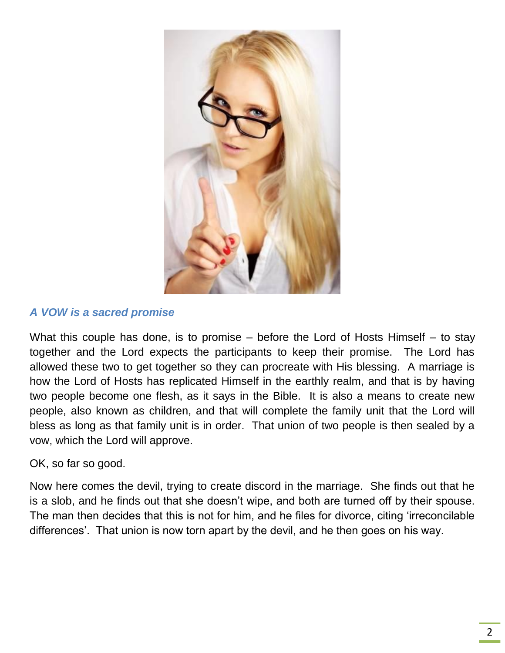

#### *A VOW is a sacred promise*

What this couple has done, is to promise – before the Lord of Hosts Himself – to stay together and the Lord expects the participants to keep their promise. The Lord has allowed these two to get together so they can procreate with His blessing. A marriage is how the Lord of Hosts has replicated Himself in the earthly realm, and that is by having two people become one flesh, as it says in the Bible. It is also a means to create new people, also known as children, and that will complete the family unit that the Lord will bless as long as that family unit is in order. That union of two people is then sealed by a vow, which the Lord will approve.

#### OK, so far so good.

Now here comes the devil, trying to create discord in the marriage. She finds out that he is a slob, and he finds out that she doesn't wipe, and both are turned off by their spouse. The man then decides that this is not for him, and he files for divorce, citing 'irreconcilable differences'. That union is now torn apart by the devil, and he then goes on his way.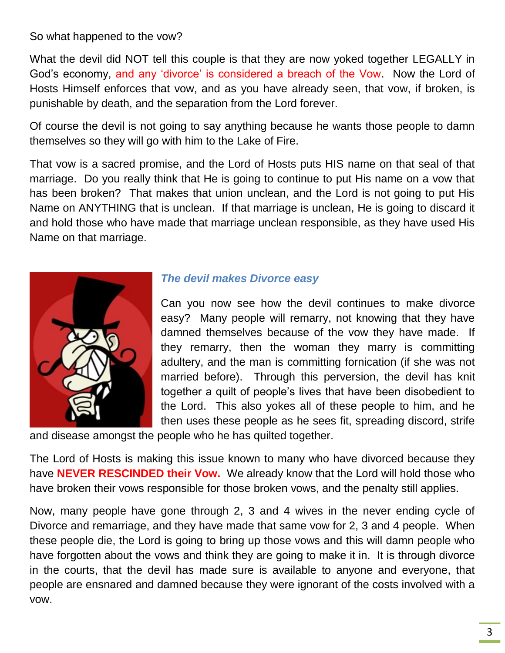So what happened to the vow?

What the devil did NOT tell this couple is that they are now yoked together LEGALLY in God's economy, and any 'divorce' is considered a breach of the Vow. Now the Lord of Hosts Himself enforces that vow, and as you have already seen, that vow, if broken, is punishable by death, and the separation from the Lord forever.

Of course the devil is not going to say anything because he wants those people to damn themselves so they will go with him to the Lake of Fire.

That vow is a sacred promise, and the Lord of Hosts puts HIS name on that seal of that marriage. Do you really think that He is going to continue to put His name on a vow that has been broken? That makes that union unclean, and the Lord is not going to put His Name on ANYTHING that is unclean. If that marriage is unclean, He is going to discard it and hold those who have made that marriage unclean responsible, as they have used His Name on that marriage.



#### *The devil makes Divorce easy*

Can you now see how the devil continues to make divorce easy? Many people will remarry, not knowing that they have damned themselves because of the vow they have made. If they remarry, then the woman they marry is committing adultery, and the man is committing fornication (if she was not married before). Through this perversion, the devil has knit together a quilt of people's lives that have been disobedient to the Lord. This also yokes all of these people to him, and he then uses these people as he sees fit, spreading discord, strife

and disease amongst the people who he has quilted together.

The Lord of Hosts is making this issue known to many who have divorced because they have **NEVER RESCINDED their Vow.** We already know that the Lord will hold those who have broken their vows responsible for those broken vows, and the penalty still applies.

Now, many people have gone through 2, 3 and 4 wives in the never ending cycle of Divorce and remarriage, and they have made that same vow for 2, 3 and 4 people. When these people die, the Lord is going to bring up those vows and this will damn people who have forgotten about the vows and think they are going to make it in. It is through divorce in the courts, that the devil has made sure is available to anyone and everyone, that people are ensnared and damned because they were ignorant of the costs involved with a vow.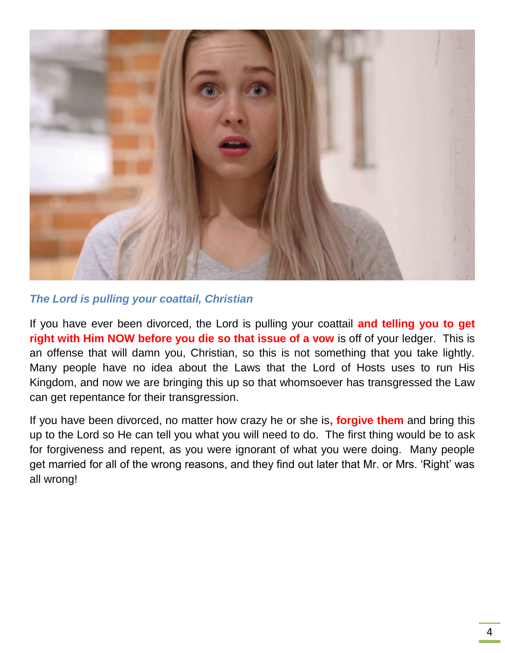

#### *The Lord is pulling your coattail, Christian*

If you have ever been divorced, the Lord is pulling your coattail **and telling you to get right with Him NOW before you die so that issue of a vow** is off of your ledger. This is an offense that will damn you, Christian, so this is not something that you take lightly. Many people have no idea about the Laws that the Lord of Hosts uses to run His Kingdom, and now we are bringing this up so that whomsoever has transgressed the Law can get repentance for their transgression.

If you have been divorced, no matter how crazy he or she is**, forgive them** and bring this up to the Lord so He can tell you what you will need to do. The first thing would be to ask for forgiveness and repent, as you were ignorant of what you were doing. Many people get married for all of the wrong reasons, and they find out later that Mr. or Mrs. 'Right' was all wrong!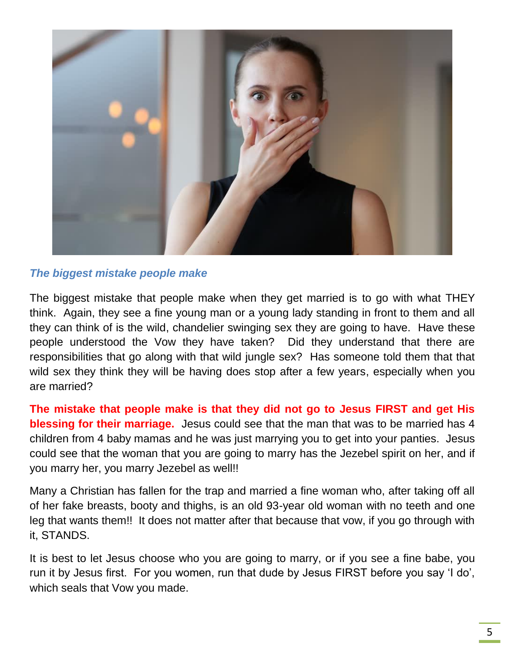

#### *The biggest mistake people make*

The biggest mistake that people make when they get married is to go with what THEY think. Again, they see a fine young man or a young lady standing in front to them and all they can think of is the wild, chandelier swinging sex they are going to have. Have these people understood the Vow they have taken? Did they understand that there are responsibilities that go along with that wild jungle sex? Has someone told them that that wild sex they think they will be having does stop after a few years, especially when you are married?

**The mistake that people make is that they did not go to Jesus FIRST and get His blessing for their marriage.** Jesus could see that the man that was to be married has 4 children from 4 baby mamas and he was just marrying you to get into your panties. Jesus could see that the woman that you are going to marry has the Jezebel spirit on her, and if you marry her, you marry Jezebel as well!!

Many a Christian has fallen for the trap and married a fine woman who, after taking off all of her fake breasts, booty and thighs, is an old 93-year old woman with no teeth and one leg that wants them!! It does not matter after that because that vow, if you go through with it, STANDS.

It is best to let Jesus choose who you are going to marry, or if you see a fine babe, you run it by Jesus first. For you women, run that dude by Jesus FIRST before you say 'I do', which seals that Vow you made.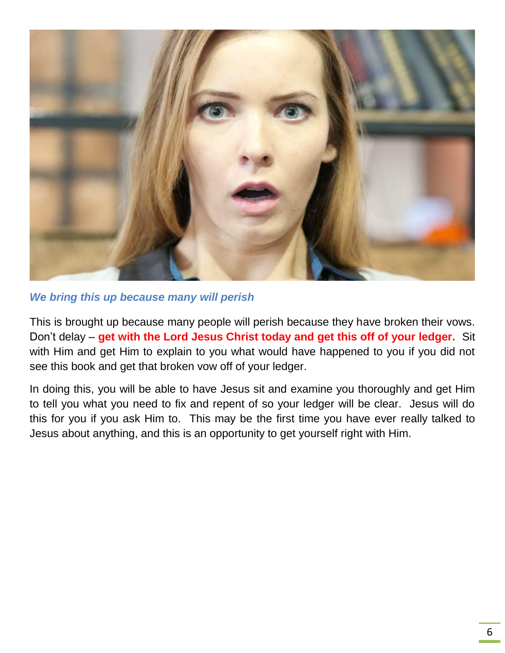

#### *We bring this up because many will perish*

This is brought up because many people will perish because they have broken their vows. Don't delay – **get with the Lord Jesus Christ today and get this off of your ledger.** Sit with Him and get Him to explain to you what would have happened to you if you did not see this book and get that broken vow off of your ledger.

In doing this, you will be able to have Jesus sit and examine you thoroughly and get Him to tell you what you need to fix and repent of so your ledger will be clear. Jesus will do this for you if you ask Him to. This may be the first time you have ever really talked to Jesus about anything, and this is an opportunity to get yourself right with Him.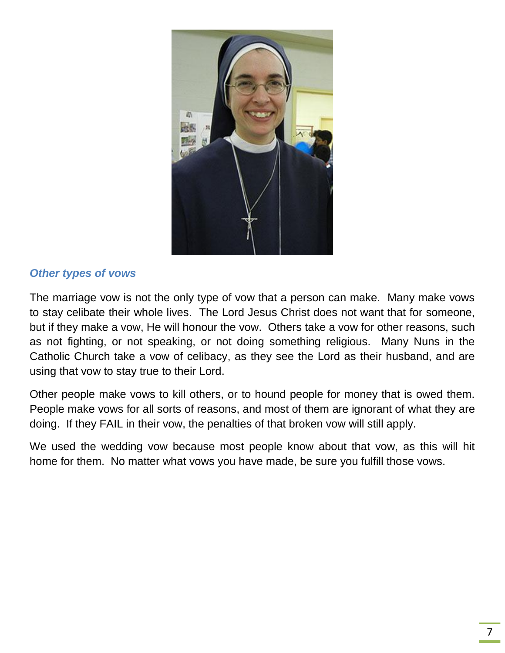

#### *Other types of vows*

The marriage vow is not the only type of vow that a person can make. Many make vows to stay celibate their whole lives. The Lord Jesus Christ does not want that for someone, but if they make a vow, He will honour the vow. Others take a vow for other reasons, such as not fighting, or not speaking, or not doing something religious. Many Nuns in the Catholic Church take a vow of celibacy, as they see the Lord as their husband, and are using that vow to stay true to their Lord.

Other people make vows to kill others, or to hound people for money that is owed them. People make vows for all sorts of reasons, and most of them are ignorant of what they are doing. If they FAIL in their vow, the penalties of that broken vow will still apply.

We used the wedding vow because most people know about that vow, as this will hit home for them. No matter what vows you have made, be sure you fulfill those vows.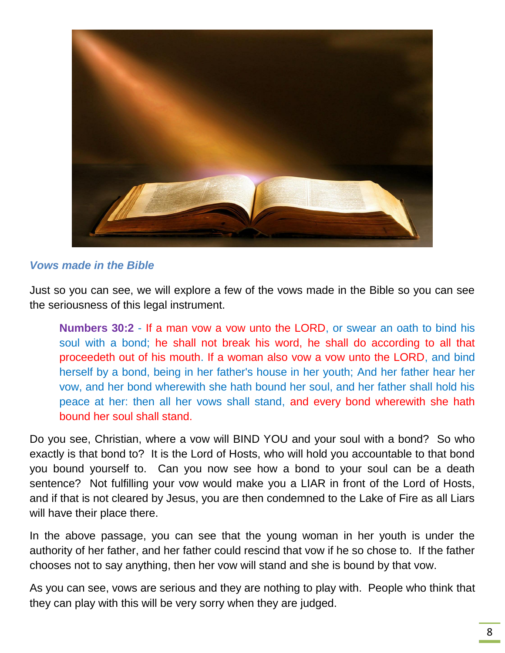

#### *Vows made in the Bible*

Just so you can see, we will explore a few of the vows made in the Bible so you can see the seriousness of this legal instrument.

**Numbers 30:2** - If a man vow a vow unto the LORD, or swear an oath to bind his soul with a bond; he shall not break his word, he shall do according to all that proceedeth out of his mouth. If a woman also vow a vow unto the LORD, and bind herself by a bond, being in her father's house in her youth; And her father hear her vow, and her bond wherewith she hath bound her soul, and her father shall hold his peace at her: then all her vows shall stand, and every bond wherewith she hath bound her soul shall stand.

Do you see, Christian, where a vow will BIND YOU and your soul with a bond? So who exactly is that bond to? It is the Lord of Hosts, who will hold you accountable to that bond you bound yourself to. Can you now see how a bond to your soul can be a death sentence? Not fulfilling your vow would make you a LIAR in front of the Lord of Hosts, and if that is not cleared by Jesus, you are then condemned to the Lake of Fire as all Liars will have their place there.

In the above passage, you can see that the young woman in her youth is under the authority of her father, and her father could rescind that vow if he so chose to. If the father chooses not to say anything, then her vow will stand and she is bound by that vow.

As you can see, vows are serious and they are nothing to play with. People who think that they can play with this will be very sorry when they are judged.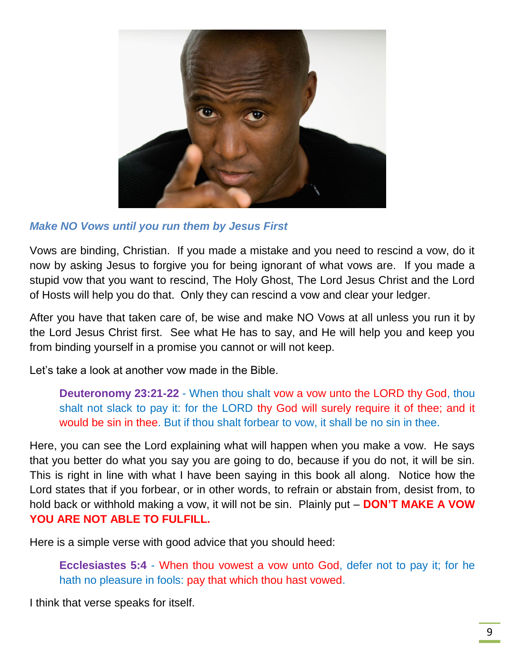

#### *Make NO Vows until you run them by Jesus First*

Vows are binding, Christian. If you made a mistake and you need to rescind a vow, do it now by asking Jesus to forgive you for being ignorant of what vows are. If you made a stupid vow that you want to rescind, The Holy Ghost, The Lord Jesus Christ and the Lord of Hosts will help you do that. Only they can rescind a vow and clear your ledger.

After you have that taken care of, be wise and make NO Vows at all unless you run it by the Lord Jesus Christ first. See what He has to say, and He will help you and keep you from binding yourself in a promise you cannot or will not keep.

Let's take a look at another vow made in the Bible.

**Deuteronomy 23:21-22** - When thou shalt vow a vow unto the LORD thy God, thou shalt not slack to pay it: for the LORD thy God will surely require it of thee; and it would be sin in thee. But if thou shalt forbear to vow, it shall be no sin in thee.

Here, you can see the Lord explaining what will happen when you make a vow. He says that you better do what you say you are going to do, because if you do not, it will be sin. This is right in line with what I have been saying in this book all along. Notice how the Lord states that if you forbear, or in other words, to refrain or abstain from, desist from, to hold back or withhold making a vow, it will not be sin. Plainly put – **DON'T MAKE A VOW YOU ARE NOT ABLE TO FULFILL.**

Here is a simple verse with good advice that you should heed:

**Ecclesiastes 5:4** - When thou vowest a vow unto God, defer not to pay it; for he hath no pleasure in fools: pay that which thou hast vowed.

I think that verse speaks for itself.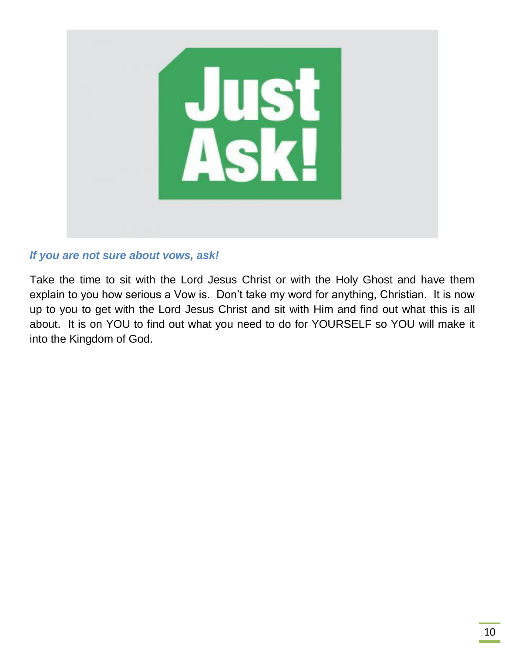

#### *If you are not sure about vows, ask!*

Take the time to sit with the Lord Jesus Christ or with the Holy Ghost and have them explain to you how serious a Vow is. Don't take my word for anything, Christian. It is now up to you to get with the Lord Jesus Christ and sit with Him and find out what this is all about. It is on YOU to find out what you need to do for YOURSELF so YOU will make it into the Kingdom of God.